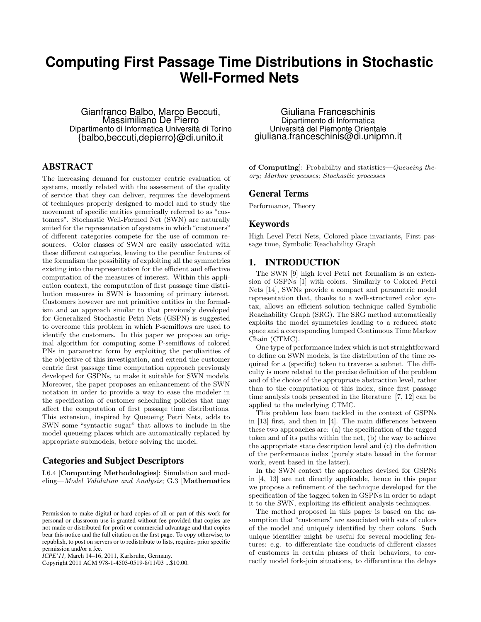# **Computing First Passage Time Distributions in Stochastic Well-Formed Nets**

Gianfranco Balbo, Marco Beccuti, Massimiliano De Pierro Dipartimento di Informatica Università di Torino {balbo,beccuti,depierro}@di.unito.it

## ABSTRACT

The increasing demand for customer centric evaluation of systems, mostly related with the assessment of the quality of service that they can deliver, requires the development of techniques properly designed to model and to study the movement of specific entities generically referred to as "customers". Stochastic Well-Formed Net (SWN) are naturally suited for the representation of systems in which "customers" of different categories compete for the use of common resources. Color classes of SWN are easily associated with these different categories, leaving to the peculiar features of the formalism the possibility of exploiting all the symmetries existing into the representation for the efficient and effective computation of the measures of interest. Within this application context, the computation of first passage time distribution measures in SWN is becoming of primary interest. Customers however are not primitive entities in the formalism and an approach similar to that previously developed for Generalized Stochastic Petri Nets (GSPN) is suggested to overcome this problem in which P-semiflows are used to identify the customers. In this paper we propose an original algorithm for computing some P-semiflows of colored PNs in parametric form by exploiting the peculiarities of the objective of this investigation, and extend the customer centric first passage time computation approach previously developed for GSPNs, to make it suitable for SWN models. Moreover, the paper proposes an enhancement of the SWN notation in order to provide a way to ease the modeler in the specification of customer scheduling policies that may affect the computation of first passage time distributions. This extension, inspired by Queueing Petri Nets, adds to SWN some "syntactic sugar" that allows to include in the model queueing places which are automatically replaced by appropriate submodels, before solving the model.

## Categories and Subject Descriptors

I.6.4 [Computing Methodologies]: Simulation and modeling—Model Validation and Analysis; G.3 [Mathematics

Copyright 2011 ACM 978-1-4503-0519-8/11/03 ...\$10.00.

Giuliana Franceschinis Dipartimento di Informatica Università del Piemonte Orientale giuliana.franceschinis@di.unipmn.it

of Computing]: Probability and statistics— $Queueing$  theory; Markov processes; Stochastic processes

### General Terms

Performance, Theory

#### Keywords

High Level Petri Nets, Colored place invariants, First passage time, Symbolic Reachability Graph

#### 1. INTRODUCTION

The SWN [9] high level Petri net formalism is an extension of GSPNs [1] with colors. Similarly to Colored Petri Nets [14], SWNs provide a compact and parametric model representation that, thanks to a well-structured color syntax, allows an efficient solution technique called Symbolic Reachability Graph (SRG). The SRG method automatically exploits the model symmetries leading to a reduced state space and a corresponding lumped Continuous Time Markov Chain (CTMC).

One type of performance index which is not straightforward to define on SWN models, is the distribution of the time required for a (specific) token to traverse a subnet. The difficulty is more related to the precise definition of the problem and of the choice of the appropriate abstraction level, rather than to the computation of this index, since first passage time analysis tools presented in the literature [7, 12] can be applied to the underlying CTMC.

This problem has been tackled in the context of GSPNs in [13] first, and then in [4]. The main differences between these two approaches are: (a) the specification of the tagged token and of its paths within the net, (b) the way to achieve the appropriate state description level and (c) the definition of the performance index (purely state based in the former work, event based in the latter).

In the SWN context the approaches devised for GSPNs in [4, 13] are not directly applicable, hence in this paper we propose a refinement of the technique developed for the specification of the tagged token in GSPNs in order to adapt it to the SWN, exploiting its efficient analysis techniques.

The method proposed in this paper is based on the assumption that "customers" are associated with sets of colors of the model and uniquely identified by their colors. Such unique identifier might be useful for several modeling features: e.g. to differentiate the conducts of different classes of customers in certain phases of their behaviors, to correctly model fork-join situations, to differentiate the delays

Permission to make digital or hard copies of all or part of this work for personal or classroom use is granted without fee provided that copies are not made or distributed for profit or commercial advantage and that copies bear this notice and the full citation on the first page. To copy otherwise, to republish, to post on servers or to redistribute to lists, requires prior specific permission and/or a fee.

*ICPE'11,* March 14–16, 2011, Karlsruhe, Germany.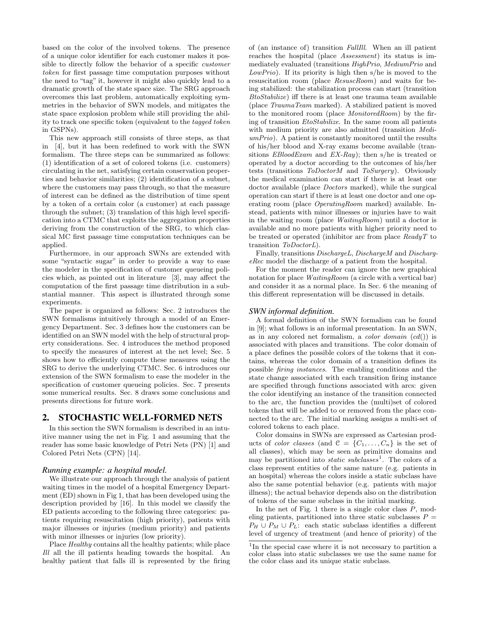based on the color of the involved tokens. The presence of a unique color identifier for each customer makes it possible to directly follow the behavior of a specific customer token for first passage time computation purposes without the need to "tag" it, however it might also quickly lead to a dramatic growth of the state space size. The SRG approach overcomes this last problem, automatically exploiting symmetries in the behavior of SWN models, and mitigates the state space explosion problem while still providing the ability to track one specific token (equivalent to the tagged token in GSPNs).

This new approach still consists of three steps, as that in [4], but it has been redefined to work with the SWN formalism. The three steps can be summarized as follows: (1) identification of a set of colored tokens (i.e. customers) circulating in the net, satisfying certain conservation properties and behavior similarities; (2) identification of a subnet, where the customers may pass through, so that the measure of interest can be defined as the distribution of time spent by a token of a certain color (a customer) at each passage through the subnet; (3) translation of this high level specification into a CTMC that exploits the aggregation properties deriving from the construction of the SRG, to which classical MC first passage time computation techniques can be applied.

Furthermore, in our approach SWNs are extended with some "syntactic sugar" in order to provide a way to ease the modeler in the specification of customer queueing policies which, as pointed out in literature [3], may affect the computation of the first passage time distribution in a substantial manner. This aspect is illustrated through some experiments.

The paper is organized as follows: Sec. 2 introduces the SWN formalisms intuitively through a model of an Emergency Department. Sec. 3 defines how the customers can be identified on an SWN model with the help of structural property considerations. Sec. 4 introduces the method proposed to specify the measures of interest at the net level; Sec. 5 shows how to efficiently compute these measures using the SRG to derive the underlying CTMC. Sec. 6 introduces our extension of the SWN formalism to ease the modeler in the specification of customer queueing policies. Sec. 7 presents some numerical results. Sec. 8 draws some conclusions and presents directions for future work.

#### 2. STOCHASTIC WELL-FORMED NETS

In this section the SWN formalism is described in an intuitive manner using the net in Fig. 1 and assuming that the reader has some basic knowledge of Petri Nets (PN) [1] and Colored Petri Nets (CPN) [14].

#### *Running example: a hospital model.*

We illustrate our approach through the analysis of patient waiting times in the model of a hospital Emergency Department (ED) shown in Fig 1, that has been developed using the description provided by [16]. In this model we classify the ED patients according to the following three categories: patients requiring resuscitation (high priority), patients with major illnesses or injuries (medium priority) and patients with minor illnesses or injuries (low priority).

Place Healthy contains all the healthy patients; while place Ill all the ill patients heading towards the hospital. An healthy patient that falls ill is represented by the firing of (an instance of) transition FallIll. When an ill patient reaches the hospital (place Assessment) its status is immediately evaluated (transitions HighPrio, MediumPrio and  $LowPrio$ ). If its priority is high then s/he is moved to the resuscitation room (place ResuscRoom) and waits for being stabilized: the stabilization process can start (transition BtoStabilize) iff there is at least one trauma team available (place TraumaTeam marked). A stabilized patient is moved to the monitored room (place MonitoredRoom) by the firing of transition EtoStabilize. In the same room all patients with medium priority are also admitted (transition *Medi* $umPrio$ ). A patient is constantly monitored until the results of his/her blood and X-ray exams become available (transitions  $EBloodExam$  and  $EX-Ray$ ; then s/he is treated or operated by a doctor according to the outcomes of his/her tests (transitions ToDoctorM and ToSurgery). Obviously the medical examination can start if there is at least one doctor available (place Doctors marked), while the surgical operation can start if there is at least one doctor and one operating room (place OperatingRoom marked) available. Instead, patients with minor illnesses or injuries have to wait in the waiting room (place WaitingRoom) until a doctor is available and no more patients with higher priority need to be treated or operated (inhibitor arc from place ReadyT to transition ToDoctorL).

Finally, transitions DischargeL, DischargeM and DischargeRec model the discharge of a patient from the hospital.

For the moment the reader can ignore the new graphical notation for place *WaitingRoom* (a circle with a vertical bar) and consider it as a normal place. In Sec. 6 the meaning of this different representation will be discussed in details.

#### *SWN informal definition.*

A formal definition of the SWN formalism can be found in [9]; what follows is an informal presentation. In an SWN, as in any colored net formalism, a *color domain*  $(cd())$  is associated with places and transitions. The color domain of a place defines the possible colors of the tokens that it contains, whereas the color domain of a transition defines its possible firing instances. The enabling conditions and the state change associated with each transition firing instance are specified through functions associated with arcs: given the color identifying an instance of the transition connected to the arc, the function provides the (multi)set of colored tokens that will be added to or removed from the place connected to the arc. The initial marking assigns a multi-set of colored tokens to each place.

Color domains in SWNs are expressed as Cartesian products of *color classes* (and  $\mathcal{C} = \{C_1, \ldots, C_n\}$  is the set of all classes), which may be seen as primitive domains and may be partitioned into *static subclasses*<sup>1</sup>. The colors of a class represent entities of the same nature (e.g. patients in an hospital) whereas the colors inside a static subclass have also the same potential behavior (e.g. patients with major illness); the actual behavior depends also on the distribution of tokens of the same subclass in the initial marking.

In the net of Fig. 1 there is a single color class  $P$ , modeling patients, partitioned into three static subclasses  $P =$  $P_H \cup P_M \cup P_L$ : each static subclass identifies a different level of urgency of treatment (and hence of priority) of the

<sup>&</sup>lt;sup>1</sup>In the special case where it is not necessary to partition a color class into static subclasses we use the same name for the color class and its unique static subclass.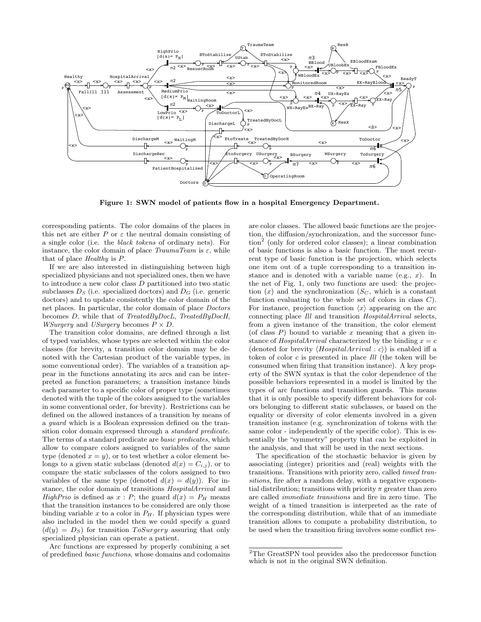

Figure 1: SWN model of patients flow in a hospital Emergency Department.

corresponding patients. The color domains of the places in this net are either P or  $\varepsilon$  the neutral domain consisting of a single color (i.e. the black tokens of ordinary nets). For instance, the color domain of place  $TrammaTeam$  is  $\varepsilon$ , while that of place Healthy is P.

If we are also interested in distinguishing between high specialized physicians and not specialized ones, then we have to introduce a new color class D partitioned into two static subclasses  $D<sub>S</sub>$  (i.e. specialized doctors) and  $D<sub>G</sub>$  (i.e. generic doctors) and to update consistently the color domain of the net places. In particular, the color domain of place Doctors becomes D, while that of TreatedByDocL, TreatedByDocH, *WSurgery* and *USurgery* becomes  $P \times D$ .

The transition color domains, are defined through a list of typed variables, whose types are selected within the color classes (for brevity, a transition color domain may be denoted with the Cartesian product of the variable types, in some conventional order). The variables of a transition appear in the functions annotating its arcs and can be interpreted as function parameters; a transition instance binds each parameter to a specific color of proper type (sometimes denoted with the tuple of the colors assigned to the variables in some conventional order, for brevity). Restrictions can be defined on the allowed instances of a transition by means of a guard which is a Boolean expression defined on the transition color domain expressed through a standard predicate. The terms of a standard predicate are basic predicates, which allow to compare colors assigned to variables of the same type (denoted  $x = y$ ), or to test whether a color element belongs to a given static subclass (denoted  $d(x) = C_{i,j}$ ), or to compare the static subclasses of the colors assigned to two variables of the same type (denoted  $d(x) = d(y)$ ). For instance, the color domain of transitions HospitalArrival and HighPrio is defined as  $x : P$ ; the guard  $d(x) = P_H$  means that the transition instances to be considered are only those binding variable  $x$  to a color in  $P<sub>H</sub>$ . If physician types were also included in the model then we could specify a guard  $(d(y) = D<sub>S</sub>)$  for transition  $ToSurgery$  assuring that only specialized physician can operate a patient.

Arc functions are expressed by properly combining a set of predefined basic functions, whose domains and codomains are color classes. The allowed basic functions are the projection, the diffusion/synchronization, and the successor function<sup>2</sup> (only for ordered color classes); a linear combination of basic functions is also a basic function. The most recurrent type of basic function is the projection, which selects one item out of a tuple corresponding to a transition instance and is denoted with a variable name (e.g.,  $x$ ). In the net of Fig. 1, only two functions are used: the projection  $(x)$  and the synchronization  $(S_C,$  which is a constant function evaluating to the whole set of colors in class  $C$ ). For instance, projection function  $\langle x \rangle$  appearing on the arc connecting place Ill and transition HospitalArrival selects, from a given instance of the transition, the color element (of class  $P$ ) bound to variable  $x$  meaning that a given instance of *HospitalArrival* characterized by the binding  $x = c$ (denoted for brevity  $\langle HospitalArrival : c \rangle$ ) is enabled iff a token of color  $c$  is presented in place  $Ill$  (the token will be consumed when firing that transition instance). A key property of the SWN syntax is that the color dependence of the possible behaviors represented in a model is limited by the types of arc functions and transition guards. This means that it is only possible to specify different behaviors for colors belonging to different static subclasses, or based on the equality or diversity of color elements involved in a given transition instance (e.g. synchronization of tokens with the same color - independently of the specific color). This is essentially the "symmetry" property that can be exploited in the analysis, and that will be used in the next sections.

The specification of the stochastic behavior is given by associating (integer) priorities and (real) weights with the transitions. Transitions with priority zero, called timed transitions, fire after a random delay, with a negative exponential distribution; transitions with priority  $\pi$  greater than zero are called immediate transitions and fire in zero time. The weight of a timed transition is interpreted as the rate of the corresponding distribution, while that of an immediate transition allows to compute a probability distribution, to be used when the transition firing involves some conflict res-

 $2$ <sup>2</sup>The GreatSPN tool provides also the predecessor function which is not in the original SWN definition.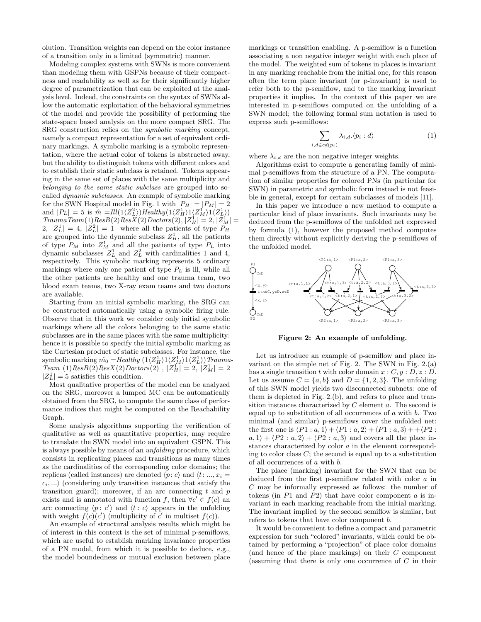olution. Transition weights can depend on the color instance of a transition only in a limited (symmetric) manner.

Modeling complex systems with SWNs is more convenient than modeling them with GSPNs because of their compactness and readability as well as for their significantly higher degree of parametrization that can be exploited at the analysis level. Indeed, the constraints on the syntax of SWNs allow the automatic exploitation of the behavioral symmetries of the model and provide the possibility of performing the state-space based analysis on the more compact SRG. The SRG construction relies on the symbolic marking concept, namely a compact representation for a set of equivalent ordinary markings. A symbolic marking is a symbolic representation, where the actual color of tokens is abstracted away, but the ability to distinguish tokens with different colors and to establish their static subclass is retained. Tokens appearing in the same set of places with the same multiplicity and belonging to the same static subclass are grouped into socalled dynamic subclasses. An example of symbolic marking for the SWN Hospital model in Fig. 1 with  $|P_H| = |P_M| = 2$ and  $|P_L| = 5$  is  $\hat{m} = \text{Ell}(1\langle Z_L^2 \rangle)$  Healthy $(1\langle Z_H^1 \rangle 1\langle Z_M^1 \rangle 1\langle Z_L^1 \rangle)$  $TrammaTeam(1)ResB(2)ResX(2)Doctors(2), |Z_H^1| = 2, |Z_M^1| =$ 2,  $|Z_L^1| = 4$ ,  $|Z_L^2| = 1$  where all the patients of type  $P_H$ are grouped into the dynamic subclass  $Z_H^1$ , all the patients of type  $P_M$  into  $Z_M^1$  and all the patients of type  $P_L$  into dynamic subclasses  $Z_L^1$  and  $Z_L^2$  with cardinalities 1 and 4, respectively. This symbolic marking represents 5 ordinary markings where only one patient of type  $P_L$  is ill, while all the other patients are healthy and one trauma team, two blood exam teams, two X-ray exam teams and two doctors are available.

Starting from an initial symbolic marking, the SRG can be constructed automatically using a symbolic firing rule. Observe that in this work we consider only initial symbolic markings where all the colors belonging to the same static subclasses are in the same places with the same multiplicity: hence it is possible to specify the initial symbolic marking as the Cartesian product of static subclasses. For instance, the symbolic marking  $\hat{m_0} =$ Healthy  $(1\langle Z_H^1\rangle1\langle Z_M^1\rangle1\langle Z_L^1\rangle)$  Trauma-Team (1)  $ResB(2)ResX(2)Doctors(2)$ ,  $|Z_H^1| = 2$ ,  $|Z_M^1| = 2$  $|Z_L^1| = 5$  satisfies this condition.

Most qualitative properties of the model can be analyzed on the SRG, moreover a lumped MC can be automatically obtained from the SRG, to compute the same class of performance indices that might be computed on the Reachability Graph.

Some analysis algorithms supporting the verification of qualitative as well as quantitative properties, may require to translate the SWN model into an equivalent GSPN. This is always possible by means of an unfolding procedure, which consists in replicating places and transitions as many times as the cardinalities of the corresponding color domains; the replicas (called instances) are denoted  $\langle p: c \rangle$  and  $\langle t: ..., x_i =$  $c_i, \ldots$ ) (considering only transition instances that satisfy the transition guard); moreover, if an arc connecting  $t$  and  $p$ exists and is annotated with function f, then  $\forall c' \in f(c)$  an arc connecting  $\langle p : c' \rangle$  and  $\langle t : c \rangle$  appears in the unfolding with weight  $f(c)(c')$  (multiplicity of c' in multiset  $f(c)$ ).

An example of structural analysis results which might be of interest in this context is the set of minimal p-semiflows, which are useful to establish marking invariance properties of a PN model, from which it is possible to deduce, e.g., the model boundedness or mutual exclusion between place markings or transition enabling. A p-semiflow is a function associating a non negative integer weight with each place of the model. The weighted sum of tokens in places is invariant in any marking reachable from the initial one, for this reason often the term place invariant (or p-invariant) is used to refer both to the p-semiflow, and to the marking invariant properties it implies. In the context of this paper we are interested in p-semiflows computed on the unfolding of a SWN model; the following formal sum notation is used to express such p-semiflows:

$$
\sum_{i,d \in cd(p_i)} \lambda_{i,d}.\langle p_i : d \rangle \tag{1}
$$

where  $\lambda_{i,d}$  are the non negative integer weights.

Algorithms exist to compute a generating family of minimal p-semiflows from the structure of a PN. The computation of similar properties for colored PNs (in particular for SWN) in parametric and symbolic form instead is not feasible in general, except for certain subclasses of models [11].

In this paper we introduce a new method to compute a particular kind of place invariants. Such invariants may be deduced from the p-semiflows of the unfolded net expressed by formula (1), however the proposed method computes them directly without explicitly deriving the p-semiflows of the unfolded model.



Figure 2: An example of unfolding.

Let us introduce an example of p-semiflow and place invariant on the simple net of Fig. 2. The SWN in Fig. 2.(a) has a single transition t with color domain  $x : C, y : D, z : D$ . Let us assume  $C = \{a, b\}$  and  $D = \{1, 2, 3\}$ . The unfolding of this SWN model yields two disconnected subnets: one of them is depicted in Fig. 2.(b), and refers to place and transition instances characterized by C element a. The second is equal up to substitution of all occurrences of  $a$  with  $b$ . Two minimal (and similar) p-semiflows cover the unfolded net: the first one is  $\langle P_1 : a, 1 \rangle + \langle P_1 : a, 2 \rangle + \langle P_1 : a, 3 \rangle + \langle P_2 : a, 3 \rangle + \langle P_1 : a, 3 \rangle + \langle P_2 : a, 3 \rangle + \langle P_1 : a, 3 \rangle + \langle P_2 : a, 3 \rangle + \langle P_1 : a, 3 \rangle + \langle P_2 : a, 3 \rangle + \langle P_1 : a, 3 \rangle + \langle P_2 : a, 3 \rangle + \langle P_2 : a, 3 \rangle + \langle P_2 : a, 3 \rangle + \langle P_2 : a, 3 \rangle + \langle P_2 : a,$  $a, 1\rangle + \langle P2 : a, 2\rangle + \langle P2 : a, 3\rangle$  and covers all the place instances characterized by color a in the element corresponding to color class  $C$ ; the second is equal up to a substitution of all occurrences of a with b.

The place (marking) invariant for the SWN that can be deduced from the first p-semiflow related with color a in C may be informally expressed as follows: the number of tokens (in  $P1$  and  $P2$ ) that have color component  $a$  is invariant in each marking reachable from the initial marking. The invariant implied by the second semiflow is similar, but refers to tokens that have color component b.

It would be convenient to define a compact and parametric expression for such "colored" invariants, which could be obtained by performing a "projection" of place color domains (and hence of the place markings) on their C component (assuming that there is only one occurrence of C in their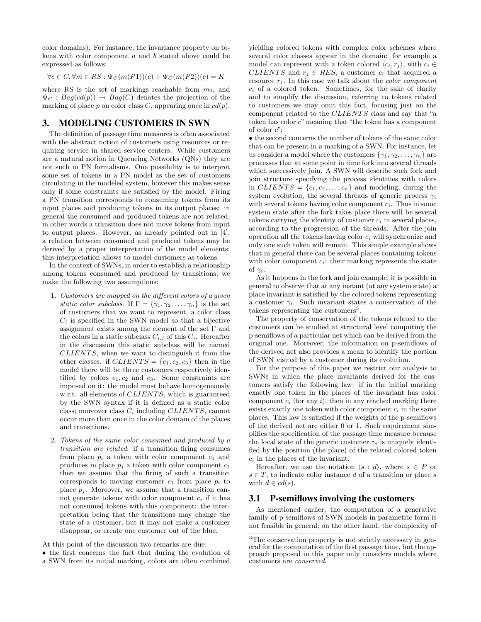color domains). For instance, the invariance property on tokens with color component a and b stated above could be expressed as follows:

 $\forall c \in C, \forall m \in RS : \Psi_C(m(P1))(c) + \Psi_C(m(P2))(c) = K$ 

where RS is the set of markings reachable from  $m_0$ , and  $\Psi_C : Bag(cd(p)) \rightarrow Bag(C)$  denotes the projection of the marking of place p on color class C, appearing once in  $cd(p)$ .

## 3. MODELING CUSTOMERS IN SWN

The definition of passage time measures is often associated with the abstract notion of customers using resources or requiring service in shared service centers. While customers are a natural notion in Queueing Networks (QNs) they are not such in PN formalisms. One possibility is to interpret some set of tokens in a PN model as the set of customers circulating in the modeled system, however this makes sense only if some constraints are satisfied by the model. Firing a PN transition corresponds to consuming tokens from its input places and producing tokens in its output places: in general the consumed and produced tokens are not related; in other words a transition does not move tokens from input to output places. However, as already pointed out in [4], a relation between consumed and produced tokens may be derived by a proper interpretation of the model elements: this interpretation allows to model customers as tokens.

In the context of SWNs, in order to establish a relationship among tokens consumed and produced by transitions, we make the following two assumptions:

- 1. Customers are mapped on the different colors of a given static color subclass. If  $\Gamma = {\gamma_1, \gamma_2, \ldots, \gamma_n}$  is the set of customers that we want to represent, a color class  $C_i$  is specified in the SWN model so that a bijective assignment exists among the element of the set  $\Gamma$  and the colors in a static subclass  $C_{i,j}$  of this  $C_i$ . Hereafter in the discussion this static subclass will be named  $CLIENTS$ , when we want to distinguish it from the other classes. if  $CLIENTS = {c_1, c_2, c_3}$  then in the model there will be three customers respectively identified by colors  $c_1, c_2$  and  $c_3$ . Some constraints are imposed on it: the model must behave homogeneously w.r.t. all elements of CLIENTS, which is guaranteed by the SWN syntax if it is defined as a static color class; moreover class  $C_i$  including CLIENTS, cannot occur more than once in the color domain of the places and transitions.
- 2. Tokens of the same color consumed and produced by a transition are related: if a transition firing consumes from place  $p_i$  a token with color component  $c_1$  and produces in place  $p_i$  a token with color component  $c_1$ then we assume that the firing of such a transition corresponds to moving customer  $c_1$  from place  $p_i$  to place  $p_i$ . Moreover, we assume that a transition cannot generate tokens with color component  $c_i$  if it has not consumed tokens with this component: the interpretation being that the transitions may change the state of a customer, but it may not make a customer disappear, or create one customer out of the blue.

At this point of the discussion two remarks are due:

yielding colored tokens with complex color schemes where several color classes appear in the domain: for example a model can represent with a token colored  $\langle c_i, r_j \rangle$ , with  $c_i \in$ CLIENTS and  $r_i \in RES$ , a customer  $c_i$  that acquired a resource  $r_i$ . In this case we talk about the *color component*  $c_i$  of a colored token. Sometimes, for the sake of clarity and to simplify the discussion, referring to tokens related to customers we may omit this fact, focusing just on the component related to the CLIENTS class and say that "a token has color c" meaning that "the token has a component of color  $c$ ";

• the second concerns the number of tokens of the same color that can be present in a marking of a SWN. For instance, let us consider a model where the customers  $\{\gamma_1, \gamma_2, \ldots, \gamma_n\}$  are processes that at some point in time fork into several threads which successively join. A SWN will describe such fork and join structure specifying the process identities with colors in  $CLIENTS = \{c_1, c_2, \ldots, c_n\}$  and modeling, during the system evolution, the several threads of generic process  $\gamma_i$ with several tokens having color component  $c_i$ . Thus in some system state after the fork takes place there will be several tokens carrying the identity of customer  $c_i$  in several places, according to the progression of the threads. After the join operation all the tokens having color  $c_i$  will synchronize and only one such token will remain. This simple example shows that in general there can be several places containing tokens with color component  $c_i$ : their marking represents the state of  $\gamma_i$ .

As it happens in the fork and join example, it is possible in general to observe that at any instant (at any system state) a place invariant is satisfied by the colored tokens representing a customer  $\gamma_i$ . Such invariant states a conservation of the tokens representing the customers<sup>3</sup>.

The property of conservation of the tokens related to the customers can be studied at structural level computing the p-semiflows of a particular net which can be derived from the original one. Moreover, the information on p-semiflows of the derived net also provides a mean to identify the portion of SWN visited by a customer during its evolution.

For the purpose of this paper we restrict our analysis to SWNs in which the place invariants derived for the customers satisfy the following law: if in the initial marking exactly one token in the places of the invariant has color component  $c_i$  (for any i), then in any reached marking there exists exactly one token with color component  $c_i$  in the same places. This law is satisfied if the weights of the p-semiflows of the derived net are either 0 or 1. Such requirement simplifies the specification of the passage time measure because the local state of the generic customer  $\gamma_i$  is uniquely identified by the position (the place) of the related colored token  $c_i$  in the places of the invariant.

Hereafter, we use the notation  $\langle s : d \rangle$ , where  $s \in P$  or  $s \in T$ , to indicate color instance d of a transition or place s with  $d \in cd(s)$ .

#### 3.1 P-semiflows involving the customers

As mentioned earlier, the computation of a generative family of p-semiflows of SWN models in parametric form is not feasible in general; on the other hand, the complexity of

<sup>•</sup> the first concerns the fact that during the evolution of a SWN from its initial marking, colors are often combined

 $^3{\rm The}$  conservation property is not strictly necessary in general for the computation of the first passage time, but the approach proposed in this paper only considers models where customers are conserved.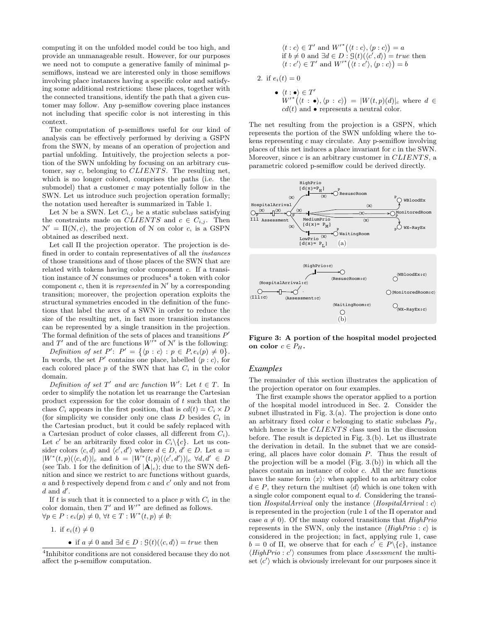computing it on the unfolded model could be too high, and provide an unmanageable result. However, for our purposes we need not to compute a generative family of minimal psemiflows, instead we are interested only in those semiflows involving place instances having a specific color and satisfying some additional restrictions: these places, together with the connected transitions, identify the path that a given customer may follow. Any p-semiflow covering place instances not including that specific color is not interesting in this context.

The computation of p-semiflows useful for our kind of analysis can be effectively performed by deriving a GSPN from the SWN, by means of an operation of projection and partial unfolding. Intuitively, the projection selects a portion of the SWN unfolding by focusing on an arbitrary customer, say  $c$ , belonging to  $CLIENTS$ . The resulting net, which is no longer colored, comprises the paths (i.e. the submodel) that a customer  $c$  may potentially follow in the SWN. Let us introduce such projection operation formally; the notation used hereafter is summarized in Table 1.

Let N be a SWN. Let  $C_{i,j}$  be a static subclass satisfying the constraints made on CLIENTS and  $c \in C_{i,j}$ . Then  $\mathcal{N}' = \Pi(\mathcal{N}, c)$ , the projection of  $\mathcal N$  on color c, is a GSPN obtained as described next.

Let call  $\Pi$  the projection operator. The projection is defined in order to contain representatives of all the instances of those transitions and of those places of the SWN that are related with tokens having color component c. If a transition instance of  $N$  consumes or produces<sup>4</sup> a token with color component  $c$ , then it is *represented* in  $N'$  by a corresponding transition; moreover, the projection operation exploits the structural symmetries encoded in the definition of the functions that label the arcs of a SWN in order to reduce the size of the resulting net, in fact more transition instances can be represented by a single transition in the projection. The formal definition of the sets of places and transitions  $P'$ and T' and of the arc functions  $W^{i*}$  of  $\mathcal{N}'$  is the following:

Definition of set  $P'$ :  $P' = \{ \langle p : c \rangle : p \in P, e_i(p) \neq 0 \}.$ In words, the set P' contains one place, labelled  $\langle p : c \rangle$ , for each colored place  $p$  of the SWN that has  $C_i$  in the color domain.

Definition of set T' and arc function W': Let  $t \in T$ . In order to simplify the notation let us rearrange the Cartesian product expression for the color domain of t such that the class  $C_i$  appears in the first position, that is  $cd(t) = C_i \times D$ (for simplicity we consider only one class  $D$  besides  $C_i$  in the Cartesian product, but it could be safely replaced with a Cartesian product of color classes, all different from  $C_i$ ). Let c' be an arbitrarily fixed color in  $C_i \backslash \{c\}$ . Let us consider colors  $\langle c, d \rangle$  and  $\langle c', d' \rangle$  where  $d \in D$ ,  $d' \in D$ . Let  $a =$  $|W^*(t,p)(\langle c, d \rangle)|_c$  and  $b = |W^*(t,p)(\langle c', d' \rangle)|_c \ \forall d, d' \in D$ (see Tab. 1 for the definition of  $|{\bf A}|_c$ ); due to the SWN definition and since we restrict to arc functions without guards,  $a$  and  $b$  respectively depend from  $c$  and  $c'$  only and not from  $d$  and  $d'$ .

If t is such that it is connected to a place p with  $C_i$  in the color domain, then  $T'$  and  $W'$ <sup>\*</sup> are defined as follows.  $\forall p \in P : e_i(p) \neq 0, \forall t \in T : W^*(t, p) \neq \emptyset$ :

1. if  $e_i(t) \neq 0$ 

• if  $a \neq 0$  and  $\exists d \in D : \mathcal{G}(t)(\langle c, d \rangle) = true$  then

$$
\langle t : c \rangle \in T' \text{ and } W'^{*}(\langle t : c \rangle, \langle p : c \rangle) = a
$$
  
if  $b \neq 0$  and  $\exists d \in D : \mathcal{G}(t)(\langle c', d \rangle) = true$  then  
 $\langle t : c' \rangle \in T'$  and  $W'^{*}(\langle t : c' \rangle, \langle p : c \rangle) = b$ 

2. if 
$$
e_i(t) = 0
$$

• 
$$
\langle t : \bullet \rangle \in T'
$$
\n $W'^*(\langle t : \bullet \rangle, \langle p : c \rangle) = |W(t, p)(d)|_c$  where  $d \in cd(t)$  and  $\bullet$  represents a neutral color.

The net resulting from the projection is a GSPN, which represents the portion of the SWN unfolding where the tokens representing  $c$  may circulate. Any p-semiflow involving places of this net induces a place invariant for c in the SWN. Moreover, since  $c$  is an arbitrary customer in  $CLIENTS$ , a parametric colored p-semiflow could be derived directly.



Figure 3: A portion of the hospital model projected on color  $c \in P_H$ .

#### *Examples*

The remainder of this section illustrates the application of the projection operator on four examples.

The first example shows the operator applied to a portion of the hospital model introduced in Sec. 2. Consider the subnet illustrated in Fig. 3.(a). The projection is done onto an arbitrary fixed color c belonging to static subclass  $P_H$ , which hence is the  $CLIENTS$  class used in the discussion before. The result is depicted in Fig. 3.(b). Let us illustrate the derivation in detail. In the subnet that we are considering, all places have color domain P. Thus the result of the projection will be a model (Fig. 3.(b)) in which all the places contain an instance of color c. All the arc functions have the same form  $\langle x \rangle$ : when applied to an arbitrary color  $d \in P$ , they return the multiset  $\langle d \rangle$  which is one token with a single color component equal to d. Considering the transition HospitalArrival only the instance  $\langle HospitalArrival : c \rangle$ is represented in the projection (rule 1 of the Π operator and case  $a \neq 0$ . Of the many colored transitions that HighPrio represents in the SWN, only the instance  $\langle HighPrior : c \rangle$  is considered in the projection; in fact, applying rule 1, case  $b = 0$  of  $\Pi$ , we observe that for each  $c' \in P \setminus \{c\}$ , instance  $\langle High Prio : c' \rangle$  consumes from place Assessment the multiset  $\langle c' \rangle$  which is obviously irrelevant for our purposes since it

<sup>4</sup> Inhibitor conditions are not considered because they do not affect the p-semiflow computation.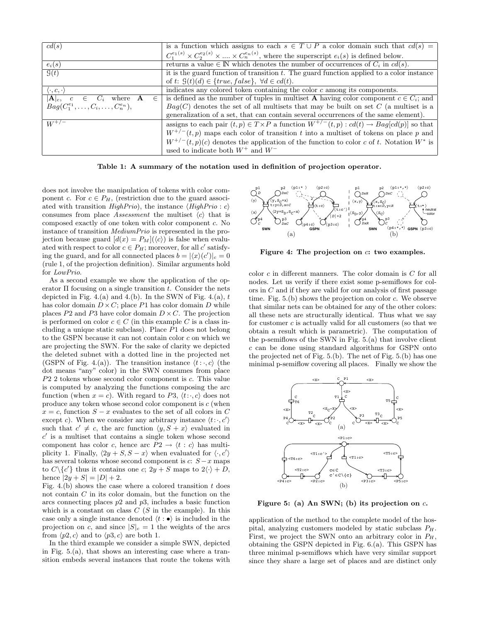| cd(s)                                             | is a function which assigns to each $s \in T \cup P$ a color domain such that $cd(s)$ =                                |  |  |
|---------------------------------------------------|------------------------------------------------------------------------------------------------------------------------|--|--|
|                                                   | $C_1^{e_1(s)} \times C_2^{e_2(s)} \times \dots \times C_n^{e_n(s)}$ , where the superscript $e_i(s)$ is defined below. |  |  |
| $e_i(s)$                                          | returns a value $\in \mathbb{N}$ which denotes the number of occurrences of $C_i$ in $cd(s)$ .                         |  |  |
| $\overline{\mathcal{G}(t)}$                       | it is the guard function of transition t. The guard function applied to a color instance                               |  |  |
|                                                   | of t: $\mathcal{G}(t)(d) \in \{true, false\}, \ \forall d \in cd(t).$                                                  |  |  |
| $\langle \cdot, c, \cdot \rangle$                 | indicates any colored token containing the color $c$ among its components.                                             |  |  |
| where $A$<br>$ {\bf A} _c, c \in C_i$<br>$\in$    | is defined as the number of tuples in multiset <b>A</b> having color component $c \in C_i$ ; and                       |  |  |
| $Bag(C_1^{e_1}, \ldots, C_i, \ldots, C_n^{e_n}),$ | $Bag(C)$ denotes the set of all multisets that may be built on set C (a multiset is a                                  |  |  |
|                                                   | generalization of a set, that can contain several occurrences of the same element).                                    |  |  |
| $W^{+/-}$                                         | assigns to each pair $(t, p) \in T \times P$ a function $W^{+/-}(t, p) : cd(t) \to Bag[cd(p)]$ so that                 |  |  |
|                                                   | $W^{+/-}(t, p)$ maps each color of transition t into a multiset of tokens on place p and                               |  |  |
|                                                   | $W^{+/-}(t, p)(c)$ denotes the application of the function to color c of t. Notation $W^*$ is                          |  |  |
|                                                   | used to indicate both $W^+$ and $W^-$                                                                                  |  |  |

Table 1: A summary of the notation used in definition of projection operator.

does not involve the manipulation of tokens with color component c. For  $c \in P_H$ , (restriction due to the guard associated with transition  $HighPrio$ , the instance  $\langle HighPrio : c \rangle$ consumes from place Assessment the multiset  $\langle c \rangle$  that is composed exactly of one token with color component c. No instance of transition MediumPrio is represented in the projection because guard  $[d(x) = P_M](\langle c \rangle)$  is false when evaluated with respect to color  $c \in P_H$ ; moreover, for all c' satisfying the guard, and for all connected places  $b = |\langle x \rangle(c')|_c = 0$ (rule 1, of the projection definition). Similar arguments hold for LowPrio.

As a second example we show the application of the operator  $\Pi$  focusing on a single transition  $t$ . Consider the nets depicted in Fig. 4.(a) and 4.(b). In the SWN of Fig. 4.(a),  $t$ has color domain  $D \times C$ ; place P1 has color domain D while places  $P2$  and  $P3$  have color domain  $D \times C$ . The projection is performed on color  $c \in C$  (in this example C is a class including a unique static subclass). Place  $P1$  does not belong to the GSPN because it can not contain color c on which we are projecting the SWN. For the sake of clarity we depicted the deleted subnet with a dotted line in the projected net (GSPN of Fig. 4.(a)). The transition instance  $\langle t : \cdot, c \rangle$  (the dot means "any" color) in the SWN consumes from place P2 2 tokens whose second color component is c. This value is computed by analyzing the functions composing the arc function (when  $x = c$ ). With regard to P3,  $\langle t : \cdot, c \rangle$  does not produce any token whose second color component is c (when  $x = c$ , function  $S - x$  evaluates to the set of all colors in C except c). When we consider any arbitrary instance  $\langle t, \cdot, c' \rangle$ such that  $c' \neq c$ , the arc function  $\langle y, S + x \rangle$  evaluated in  $c'$  is a multiset that contains a single token whose second component has color c, hence arc  $P2 \to \langle t : c \rangle$  has multiplicity 1. Finally,  $\langle 2y + S, S - x \rangle$  when evaluated for  $\langle \cdot, c' \rangle$ has several tokens whose second component is  $c: S - x$  maps to  $C \setminus \{c'\}$  thus it contains one c;  $2y + S$  maps to  $2\langle \cdot \rangle + D$ , hence  $|2y + S| = |D| + 2$ .

Fig. 4.(b) shows the case where a colored transition  $t$  does not contain C in its color domain, but the function on the arcs connecting places  $p2$  and  $p3$ , includes a basic function which is a constant on class  $C(S)$  in the example). In this case only a single instance denoted  $\langle t : \bullet \rangle$  is included in the projection on c, and since  $|S|_c = 1$  the weights of the arcs from  $\langle p2, c \rangle$  and to  $\langle p3, c \rangle$  are both 1.

In the third example we consider a simple SWN, depicted in Fig. 5.(a), that shows an interesting case where a transition embeds several instances that route the tokens with



Figure 4: The projection on c: two examples.

color  $c$  in different manners. The color domain is  $C$  for all nodes. Let us verify if there exist some p-semiflows for colors in C and if they are valid for our analysis of first passage time. Fig.  $5.(b)$  shows the projection on color  $c$ . We observe that similar nets can be obtained for any of the other colors: all these nets are structurally identical. Thus what we say for customer  $c$  is actually valid for all customers (so that we obtain a result which is parametric). The computation of the p-semiflows of the SWN in Fig. 5.(a) that involve client c can be done using standard algorithms for GSPN onto the projected net of Fig. 5.(b). The net of Fig. 5.(b) has one minimal p-semiflow covering all places. Finally we show the



Figure 5: (a) An SWN; (b) its projection on  $c$ .

application of the method to the complete model of the hospital, analyzing customers modeled by static subclass  $P_H$ . First, we project the SWN onto an arbitrary color in  $P_H$ , obtaining the GSPN depicted in Fig. 6.(a). This GSPN has three minimal p-semiflows which have very similar support since they share a large set of places and are distinct only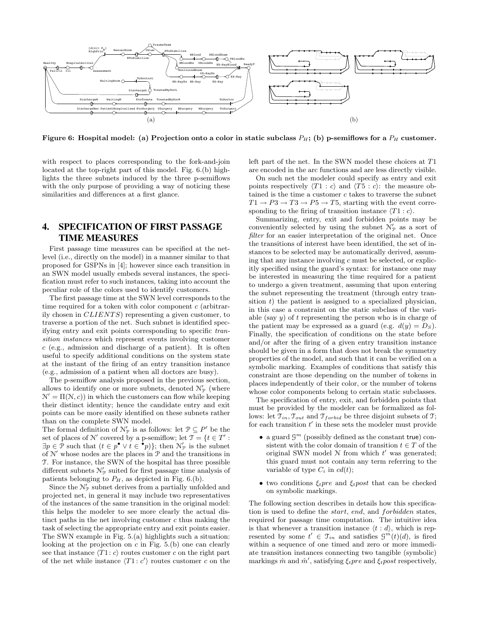

Figure 6: Hospital model: (a) Projection onto a color in static subclass  $P_H$ ; (b) p-semiflows for a  $P_H$  customer.

with respect to places corresponding to the fork-and-join located at the top-right part of this model. Fig. 6.(b) highlights the three subnets induced by the three p-semiflows with the only purpose of providing a way of noticing these similarities and differences at a first glance.

## 4. SPECIFICATION OF FIRST PASSAGE TIME MEASURES

First passage time measures can be specified at the netlevel (i.e., directly on the model) in a manner similar to that proposed for GSPNs in [4]; however since each transition in an SWN model usually embeds several instances, the specification must refer to such instances, taking into account the peculiar role of the colors used to identify customers.

The first passage time at the SWN level corresponds to the time required for a token with color component  $c$  (arbitrarily chosen in  $CLIENTS$ ) representing a given customer, to traverse a portion of the net. Such subnet is identified specifying entry and exit points corresponding to specific transition instances which represent events involving customer c (e.g., admission and discharge of a patient). It is often useful to specify additional conditions on the system state at the instant of the firing of an entry transition instance (e.g., admission of a patient when all doctors are busy).

The p-semiflow analysis proposed in the previous section, allows to identify one or more subnets, denoted  $\mathcal{N}_{\mathcal{P}}'$  (where  $\mathcal{N}' = \Pi(\mathcal{N}, c)$  in which the customers can flow while keeping their distinct identity; hence the candidate entry and exit points can be more easily identified on these subnets rather than on the complete SWN model.

The formal definition of  $\mathcal{N}'_{\mathcal{P}}$  is as follows: let  $\mathcal{P} \subseteq P'$  be the set of places of N' covered by a p-semiflow; let  $\mathfrak{T} = \{t \in T' :$  $\exists p \in \mathcal{P}$  such that  $(t \in p^{\bullet} \lor t \in \bullet_p)$ ; then  $\mathcal{N}'_{\mathcal{P}}$  is the subnet of  $\mathcal{N}'$  whose nodes are the places in  $\mathcal{P}$  and the transitions in T. For instance, the SWN of the hospital has three possible different subnets  $\mathcal{N}_{\mathcal{P}}'$  suited for first passage time analysis of patients belonging to  $P_H$ , as depicted in Fig. 6.(b).

Since the  $N'_\mathcal{P}$  subnet derives from a partially unfolded and projected net, in general it may include two representatives of the instances of the same transition in the original model: this helps the modeler to see more clearly the actual distinct paths in the net involving customer  $c$  thus making the task of selecting the appropriate entry and exit points easier. The SWN example in Fig. 5.(a) highlights such a situation: looking at the projection on  $c$  in Fig. 5.(b) one can clearly see that instance  $\langle T_1: c \rangle$  routes customer c on the right part of the net while instance  $\langle T_1 : c' \rangle$  routes customer c on the

left part of the net. In the SWN model these choices at T1 are encoded in the arc functions and are less directly visible.

On such net the modeler could specify as entry and exit points respectively  $\langle T1 : c \rangle$  and  $\langle T5 : c \rangle$ : the measure obtained is the time a customer  $c$  takes to traverse the subnet  $T1 \rightarrow P3 \rightarrow T3 \rightarrow P5 \rightarrow T5$ , starting with the event corresponding to the firing of transition instance  $\langle T1 : c \rangle$ .

Summarizing, entry, exit and forbidden points may be conveniently selected by using the subnet  $\mathcal{N}'_{\mathcal{P}}$  as a sort of filter for an easier interpretation of the original net. Once the transitions of interest have been identified, the set of instances to be selected may be automatically derived, assuming that any instance involving  $c$  must be selected, or explicitly specified using the guard's syntax: for instance one may be interested in measuring the time required for a patient to undergo a given treatment, assuming that upon entering the subnet representing the treatment (through entry transition  $t$ ) the patient is assigned to a specialized physician, in this case a constraint on the static subclass of the variable (say  $y$ ) of  $t$  representing the person who is in charge of the patient may be expressed as a guard (e.g.  $d(y) = D<sub>S</sub>$ ). Finally, the specification of conditions on the state before and/or after the firing of a given entry transition instance should be given in a form that does not break the symmetry properties of the model, and such that it can be verified on a symbolic marking. Examples of conditions that satisfy this constraint are those depending on the number of tokens in places independently of their color, or the number of tokens whose color components belong to certain static subclasses.

The specification of entry, exit, and forbidden points that must be provided by the modeler can be formalized as follows: let  $\mathfrak{T}_{in}$ ,  $\mathfrak{T}_{out}$  and  $\mathfrak{T}_{forbid}$  be three disjoint subsets of  $\mathfrak{T}$ ; for each transition  $t'$  in these sets the modeler must provide

- a guard  $\mathcal{G}^m$  (possibly defined as the constant true) consistent with the color domain of transition  $t \in T$  of the original SWN model  $N$  from which  $t'$  was generated; this guard must not contain any term referring to the variable of type  $C_i$  in  $cd(t)$ ;
- two conditions  $\xi_t$ *pre* and  $\xi_t$ *post* that can be checked on symbolic markings.

The following section describes in details how this specification is used to define the start, end, and forbidden states, required for passage time computation. The intuitive idea is that whenever a transition instance  $\langle t : d \rangle$ , which is represented by some  $t' \in \mathcal{T}_{in}$  and satisfies  $\mathcal{G}^m(t)(d)$ , is fired within a sequence of one timed and zero or more immediate transition instances connecting two tangible (symbolic) markings  $\hat{m}$  and  $\hat{m}'$ , satisfying  $\xi_t$ *pre* and  $\xi_t$ *post* respectively,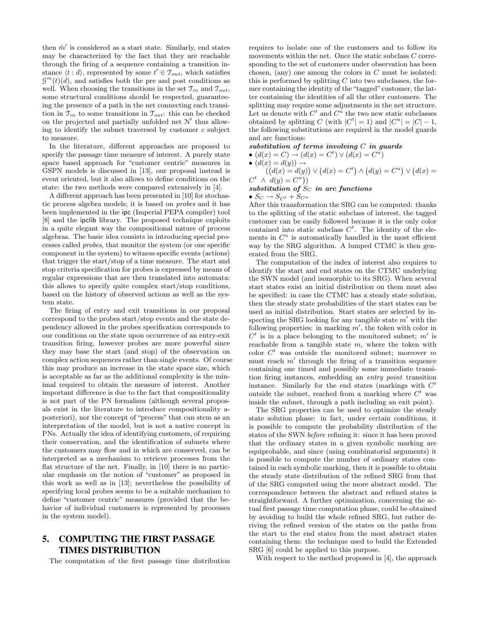then  $\hat{m}'$  is considered as a start state. Similarly, end states may be characterized by the fact that they are reachable through the firing of a sequence containing a transition instance  $\langle t : d \rangle$ , represented by some  $t' \in \mathcal{T}_{out}$ , which satisfies  $\mathcal{G}^m(t)(d)$ , and satisfies both the pre and post conditions as well. When choosing the transitions in the set  $\mathcal{T}_{in}$  and  $\mathcal{T}_{out}$ , some structural conditions should be respected, guaranteeing the presence of a path in the net connecting each transition in  $\mathcal{T}_{in}$  to some transitions in  $\mathcal{T}_{out}$ : this can be checked on the projected and partially unfolded net  $N'$  thus allowing to identify the subnet traversed by customer  $c$  subject to measure.

In the literature, different approaches are proposed to specify the passage time measure of interest. A purely state space based approach for "customer centric" measures in GSPN models is discussed in [13], our proposal instead is event oriented, but it also allows to define conditions on the state: the two methods were compared extensively in [4].

A different approach has been presented in [10] for stochastic process algebra models; it is based on probes and it has been implemented in the ipc (Imperial PEPA compiler) tool [8] and the ipclib library. The proposed technique exploits in a quite elegant way the compositional nature of process algebras. The basic idea consists in introducing special processes called probes, that monitor the system (or one specific component in the system) to witness specific events (actions) that trigger the start/stop of a time measure. The start and stop criteria specification for probes is expressed by means of regular expressions that are then translated into automata: this allows to specify quite complex start/stop conditions, based on the history of observed actions as well as the system state.

The firing of entry and exit transitions in our proposal correspond to the probes start/stop events and the state dependency allowed in the probes specification corresponds to our conditions on the state upon occurrence of an entry-exit transition firing, however probes are more powerful since they may base the start (and stop) of the observation on complex action sequences rather than single events. Of course this may produce an increase in the state space size, which is acceptable as far as the additional complexity is the minimal required to obtain the measure of interest. Another important difference is due to the fact that compositionality is not part of the PN formalism (although several proposals exist in the literature to introduce compositionality aposteriori), nor the concept of "process" that can stem as an interpretation of the model, but is not a native concept in PNs. Actually the idea of identifying customers, of requiring their conservation, and the identification of subnets where the customers may flow and in which are conserved, can be interpreted as a mechanism to retrieve processes from the flat structure of the net. Finally, in [10] there is no particular emphasis on the notion of "customer" as proposed in this work as well as in [13]; nevertheless the possibility of specifying local probes seems to be a suitable mechanism to define "customer centric" measures (provided that the behavior of individual customers is represented by processes in the system model).

# 5. COMPUTING THE FIRST PASSAGE TIMES DISTRIBUTION

The computation of the first passage time distribution

requires to isolate one of the customers and to follow its movements within the net. Once the static subclass C corresponding to the set of customers under observation has been chosen, (any) one among the colors in  $C$  must be isolated: this is performed by splitting  $C$  into two subclasses, the former containing the identity of the "tagged" customer, the latter containing the identities of all the other customers. The splitting may require some adjustments in the net structure. Let us denote with  $C^t$  and  $C^u$  the two new static subclasses obtained by splitting C (with  $|C^t| = 1$ ) and  $|C^u| = |C| - 1$ , the following substitutions are required in the model guards and arc functions:

substitution of terms involving  $C$  in guards

•  $(d(x) = C) \to (d(x) = C^t) \lor (d(x) = C^u)$ 

```
\bullet (d(x) = d(y)) \rightarrow
```
 $((d(x) = d(y)) \vee (d(x) = C^t) \wedge (d(y) = C^u) \vee (d(x) =$  $C^t \wedge d(y) = C^u$ )

substitution of  $S_C$  in arc functions

$$
\bullet \; S_C \to S_{C^t} + S_{C^u}
$$

After this transformation the SRG can be computed: thanks to the splitting of the static subclass of interest, the tagged customer can be easily followed because it is the only color contained into static subclass  $C<sup>t</sup>$ . The identity of the elements in  $C^u$  is automatically handled in the most efficient way by the SRG algorithm. A lumped CTMC is then generated from the SRG.

The computation of the index of interest also requires to identify the start and end states on the CTMC underlying the SWN model (and isomorphic to its SRG). When several start states exist an initial distribution on them must also be specified: in case the CTMC has a steady state solution, then the steady state probabilities of the start states can be used as initial distribution. Start states are selected by inspecting the SRG looking for any tangible state  $m'$  with the following properties: in marking  $m'$ , the token with color in  $C<sup>t</sup>$  is in a place belonging to the monitored subnet; m' is reachable from a tangible state  $m$ , where the token with color  $C<sup>t</sup>$  was outside the monitored subnet; moreover m must reach  $m'$  through the firing of a transition sequence containing one timed and possibly some immediate transition firing instances, embedding an entry point transition instance. Similarly for the end states (markings with  $C<sup>t</sup>$ outside the subnet, reached from a marking where  $C<sup>t</sup>$  was inside the subnet, through a path including an exit point).

The SRG properties can be used to optimize the steady state solution phase: in fact, under certain conditions, it is possible to compute the probability distribution of the states of the SWN before refining it: since it has been proved that the ordinary states in a given symbolic marking are equiprobable, and since (using combinatorial arguments) it is possible to compute the number of ordinary states contained in each symbolic marking, then it is possible to obtain the steady state distribution of the refined SRG from that of the SRG computed using the more abstract model. The correspondence between the abstract and refined states is straightforward. A further optimization, concerning the actual first passage time computation phase, could be obtained by avoiding to build the whole refined SRG, but rather deriving the refined version of the states on the paths from the start to the end states from the most abstract states containing them: the technique used to build the Extended SRG [6] could be applied to this purpose.

With respect to the method proposed in [4], the approach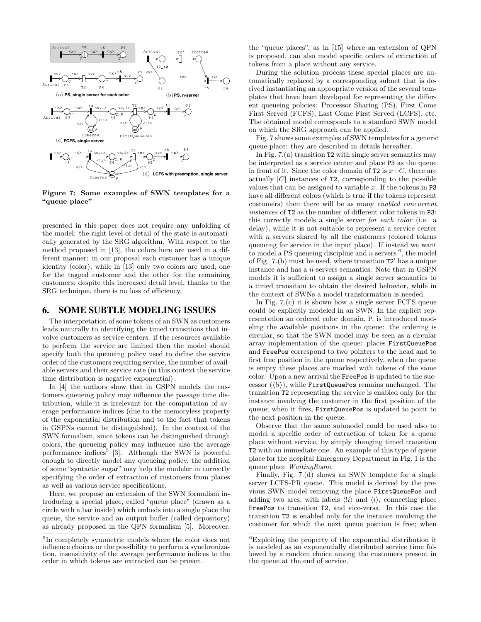

Figure 7: Some examples of SWN templates for a "queue place"

presented in this paper does not require any unfolding of the model: the right level of detail of the state is automatically generated by the SRG algorithm. With respect to the method proposed in [13], the colors here are used in a different manner: in our proposal each customer has a unique identity (color), while in [13] only two colors are used, one for the tagged customer and the other for the remaining customers; despite this increased detail level, thanks to the SRG technique, there is no loss of efficiency.

#### 6. SOME SUBTLE MODELING ISSUES

The interpretation of some tokens of an SWN as customers leads naturally to identifying the timed transitions that involve customers as service centers: if the resources available to perform the service are limited then the model should specify both the queueing policy used to define the service order of the customers requiring service, the number of available servers and their service rate (in this context the service time distribution is negative exponential).

In [4] the authors show that in GSPN models the customers queueing policy may influence the passage time distribution, while it is irrelevant for the computation of average performance indices (due to the memoryless property of the exponential distribution and to the fact that tokens in GSPNs cannot be distinguished). In the context of the SWN formalism, since tokens can be distinguished through colors, the queueing policy may influence also the average performance indices<sup>5</sup> [3]. Although the SWN is powerful enough to directly model any queueing policy, the addition of some "syntactic sugar" may help the modeler in correctly specifying the order of extraction of customers from places as well as various service specifications.

Here, we propose an extension of the SWN formalism introducing a special place, called "queue place" (drawn as a circle with a bar inside) which embeds into a single place the queue, the service and an output buffer (called depository) as already proposed in the QPN formalism [5]. Moreover, the "queue places", as in [15] where an extension of QPN is proposed, can also model specific orders of extraction of tokens from a place without any service.

During the solution process these special places are automatically replaced by a corresponding subnet that is derived instantiating an appropriate version of the several templates that have been developed for representing the different queueing policies: Processor Sharing (PS), First Come First Served (FCFS), Last Come First Served (LCFS), etc. The obtained model corresponds to a standard SWN model on which the SRG approach can be applied.

Fig. 7 shows some examples of SWN templates for a generic queue place: they are described in details hereafter.

In Fig. 7.(a) transition T2 with single server semantics may be interpreted as a service center and place P3 as the queue in front of it. Since the color domain of  $T2$  is  $x : C$ , there are actually  $|C|$  instances of T2, corresponding to the possible values that can be assigned to variable  $x$ . If the tokens in P3 have all different colors (which is true if the tokens represent customers) then there will be as many enabled concurrent instances of T2 as the number of different color tokens in P3: this correctly models a single server for each color (i.e. a delay), while it is not suitable to represent a service center with  $n$  servers shared by all the customers (colored tokens queueing for service in the input place). If instead we want to model a PS queueing discipline and  $n$  servers  $^6$ , the model of Fig. 7.(b) must be used, where transition  $T2'$  has a unique instance and has a n servers semantics. Note that in GSPN models it is sufficient to assign a single server semantics to a timed transition to obtain the desired behavior, while in the context of SWNs a model transformation is needed.

In Fig. 7.(c) it is shown how a single server FCFS queue could be explicitly modeled in an SWN. In the explicit representation an ordered color domain, P, is introduced modeling the available positions in the queue: the ordering is circular, so that the SWN model may be seen as a circular array implementation of the queue: places FirstQueuePos and FreePos correspond to two pointers to the head and to first free position in the queue respectively, when the queue is empty these places are marked with tokens of the same color. Upon a new arrival the FreePos is updated to the successor  $(\langle ii \rangle)$ , while FirstQueuePos remains unchanged. The transition T2 representing the service is enabled only for the instance involving the customer in the first position of the queue; when it fires, FirstQueuePos is updated to point to the next position in the queue.

Observe that the same submodel could be used also to model a specific order of extraction of token for a queue place without service, by simply changing timed transition T2 with an immediate one. An example of this type of queue place for the hospital Emergency Department in Fig. 1 is the queue place WaitingRoom.

Finally, Fig. 7.(d) shows an SWN template for a single server LCFS-PR queue. This model is derived by the previous SWN model removing the place FirstQueuePos and adding two arcs, with labels  $\langle i \rangle$  and  $\langle i \rangle$ , connecting place FreePos to transition T2, and vice-versa. In this case the transition T2 is enabled only for the instance involving the customer for which the next queue position is free; when

<sup>5</sup> In completely symmetric models where the color does not influence choices or the possibility to perform a synchronization, insensitivity of the average performance indices to the order in which tokens are extracted can be proven.

 $^6$  Exploiting the property of the exponential distribution it is modeled as an exponentially distributed service time followed by a random choice among the customers present in the queue at the end of service.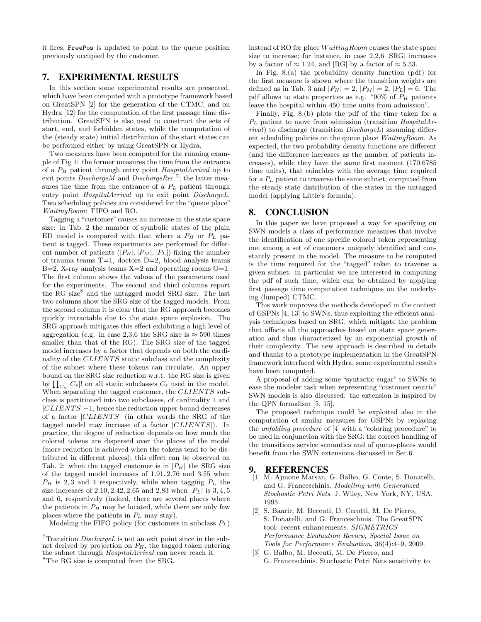it fires, FreePos is updated to point to the queue position previously occupied by the customer.

# 7. EXPERIMENTAL RESULTS

In this section some experimental results are presented, which have been computed with a prototype framework based on GreatSPN [2] for the generation of the CTMC, and on Hydra [12] for the computation of the first passage time distribution. GreatSPN is also used to construct the sets of start, end, and forbidden states, while the computation of the (steady state) initial distribution of the start states can be performed either by using GreatSPN or Hydra.

Two measures have been computed for the running example of Fig 1: the former measures the time from the entrance of a  $P_H$  patient through entry point HospitalArrival up to exit points *DischargeM* and *DischargeRec*<sup>7</sup>; the latter measures the time from the entrance of a  $P_L$  patient through entry point HospitalArrival up to exit point DischargeL. Two scheduling policies are considered for the "queue place" WaitingRoom: FIFO and RO.

Tagging a "customer" causes an increase in the state space size: in Tab. 2 the number of symbolic states of the plain ED model is compared with that where a  $P_H$  or  $P_L$  patient is tagged. These experiments are performed for different number of patients  $(|P_H|, |P_M|, |P_L|)$  fixing the number of trauma teams  $T=1$ , doctors  $D=2$ , blood analysis teams  $B=2$ , X-ray analysis teams  $X=2$  and operating rooms  $O=1$ . The first column shows the values of the parameters used for the experiments. The second and third columns report the RG size<sup>8</sup> and the untagged model SRG size. The last two columns show the SRG size of the tagged models. From the second column it is clear that the RG approach becomes quickly intractable due to the state space explosion. The SRG approach mitigates this effect exhibiting a high level of aggregation (e.g. in case 2,3,6 the SRG size is  $\approx$  590 times smaller than that of the RG). The SRG size of the tagged model increases by a factor that depends on both the cardinality of the CLIENTS static subclass and the complexity of the subnet where these tokens can circulate. An upper bound on the SRG size reduction w.r.t. the RG size is given by  $\prod_{C_s} |C_s|!$  on all static subclasses  $C_s$  used in the model. When separating the tagged customer, the CLIENTS subclass is partitioned into two subclasses, of cardinality 1 and  $|CLIENTS|-1$ , hence the reduction upper bound decreases of a factor  $|CLIENTS|$  (in other words the SRG of the tagged model may increase of a factor  $|CLIENTS|$ . In practice, the degree of reduction depends on how much the colored tokens are dispersed over the places of the model (more reduction is achieved when the tokens tend to be distributed in different places); this effect can be observed on Tab. 2: when the tagged customer is in  $|P_H|$  the SRG size of the tagged model increases of 1.91, 2.76 and 3.55 when  $P_H$  is 2,3 and 4 respectively, while when tagging  $P_L$  the size increases of 2.10, 2.42, 2.65 and 2.83 when  $|P_L|$  is 3, 4, 5 and 6, respectively (indeed, there are several places where the patients in  $P<sub>H</sub>$  may be located, while there are only few places where the patients in  $P_L$  may stay).

Modeling the FIFO policy (for customers in subclass  $P<sub>L</sub>$ )

instead of RO for place W aitingRoom causes the state space size to increase; for instance, in case 2,2,6 |SRG| increases by a factor of  $\approx 1.24$ , and |RG| by a factor of  $\approx 5.53$ .

In Fig. 8.(a) the probability density function (pdf) for the first measure is shown where the transition weights are defined as in Tab. 3 and  $|P_H| = 2$ ,  $|P_M| = 2$ ,  $|P_L| = 6$ . The pdf allows to state properties as e.g. "90% of  $P_H$  patients leave the hospital within 450 time units from admission".

Finally, Fig. 8.(b) plots the pdf of the time taken for a  $P_L$  patient to move from admission (transition HospitalArrival) to discharge (transition DischargeL) assuming different scheduling policies on the queue place WaitingRoom. As expected, the two probability density functions are different (and the difference increases as the number of patients increases), while they have the same first moment (170.6785 time units), that coincides with the average time required for a  $P_L$  patient to traverse the same subnet, computed from the steady state distribution of the states in the untagged model (applying Little's formula).

### 8. CONCLUSION

In this paper we have proposed a way for specifying on SWN models a class of performance measures that involve the identification of one specific colored token representing one among a set of customers uniquely identified and constantly present in the model. The measure to be computed is the time required for the "tagged" token to traverse a given subnet: in particular we are interested in computing the pdf of such time, which can be obtained by applying first passage time computation techniques on the underlying (lumped) CTMC.

This work improves the methods developed in the context of GSPNs [4, 13] to SWNs, thus exploiting the efficient analysis techniques based on SRG, which mitigate the problem that affects all the approaches based on state space generation and thus characterized by an exponential growth of their complexity. The new approach is described in details and thanks to a prototype implementation in the GreatSPN framework interfaced with Hydra, some experimental results have been computed.

A proposal of adding some "syntactic sugar" to SWNs to ease the modeler task when representing "customer centric" SWN models is also discussed: the extension is inspired by the QPN formalism [5, 15].

The proposed technique could be exploited also in the computation of similar measures for GSPNs by replacing the unfolding procedure of [4] with a "coloring procedure" to be used in conjunction with the SRG: the correct handling of the transitions service semantics and of queue-places would benefit from the SWN extensions discussed in Sec.6.

#### 9. REFERENCES

- [1] M. Ajmone Marsan, G. Balbo, G. Conte, S. Donatelli, and G. Franceschinis. Modelling with Generalized Stochastic Petri Nets. J. Wiley, New York, NY, USA, 1995.
- [2] S. Baarir, M. Beccuti, D. Cerotti, M. De Pierro, S. Donatelli, and G. Franceschinis. The GreatSPN tool: recent enhancements. SIGMETRICS Performance Evaluation Review, Special Issue on Tools for Performance Evaluation, 36(4):4–9, 2009.
- [3] G. Balbo, M. Beccuti, M. De Pierro, and G. Franceschinis. Stochastic Petri Nets sensitivity to

 $7$ Transition  $DischargeL$  is not an exit point since in the subnet derived by projection on  $P_H$ , the tagged token entering the subnet through HospitalArrival can never reach it.

<sup>&</sup>lt;sup>8</sup>The RG size is computed from the SRG.